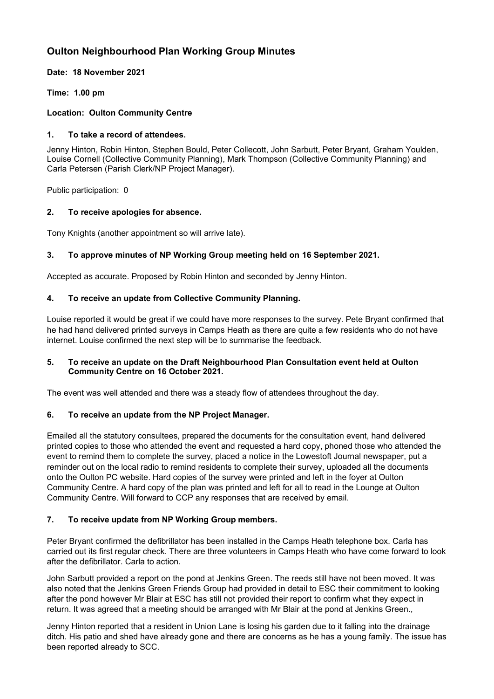# **Oulton Neighbourhood Plan Working Group Minutes**

**Date: 18 November 2021**

**Time: 1.00 pm**

## **Location: Oulton Community Centre**

## **1. To take a record of attendees.**

Jenny Hinton, Robin Hinton, Stephen Bould, Peter Collecott, John Sarbutt, Peter Bryant, Graham Youlden, Louise Cornell (Collective Community Planning), Mark Thompson (Collective Community Planning) and Carla Petersen (Parish Clerk/NP Project Manager).

Public participation: 0

## **2. To receive apologies for absence.**

Tony Knights (another appointment so will arrive late).

## **3. To approve minutes of NP Working Group meeting held on 16 September 2021.**

Accepted as accurate. Proposed by Robin Hinton and seconded by Jenny Hinton.

## **4. To receive an update from Collective Community Planning.**

Louise reported it would be great if we could have more responses to the survey. Pete Bryant confirmed that he had hand delivered printed surveys in Camps Heath as there are quite a few residents who do not have internet. Louise confirmed the next step will be to summarise the feedback.

### **5. To receive an update on the Draft Neighbourhood Plan Consultation event held at Oulton Community Centre on 16 October 2021.**

The event was well attended and there was a steady flow of attendees throughout the day.

### **6. To receive an update from the NP Project Manager.**

Emailed all the statutory consultees, prepared the documents for the consultation event, hand delivered printed copies to those who attended the event and requested a hard copy, phoned those who attended the event to remind them to complete the survey, placed a notice in the Lowestoft Journal newspaper, put a reminder out on the local radio to remind residents to complete their survey, uploaded all the documents onto the Oulton PC website. Hard copies of the survey were printed and left in the foyer at Oulton Community Centre. A hard copy of the plan was printed and left for all to read in the Lounge at Oulton Community Centre. Will forward to CCP any responses that are received by email.

# **7. To receive update from NP Working Group members.**

Peter Bryant confirmed the defibrillator has been installed in the Camps Heath telephone box. Carla has carried out its first regular check. There are three volunteers in Camps Heath who have come forward to look after the defibrillator. Carla to action.

John Sarbutt provided a report on the pond at Jenkins Green. The reeds still have not been moved. It was also noted that the Jenkins Green Friends Group had provided in detail to ESC their commitment to looking after the pond however Mr Blair at ESC has still not provided their report to confirm what they expect in return. It was agreed that a meeting should be arranged with Mr Blair at the pond at Jenkins Green.,

Jenny Hinton reported that a resident in Union Lane is losing his garden due to it falling into the drainage ditch. His patio and shed have already gone and there are concerns as he has a young family. The issue has been reported already to SCC.